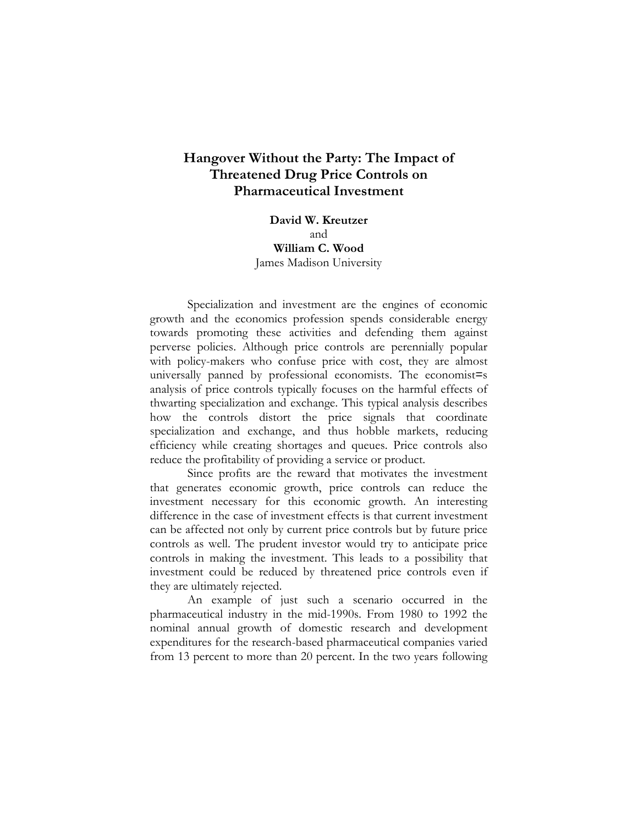# **Hangover Without the Party: The Impact of Threatened Drug Price Controls on Pharmaceutical Investment**

**David W. Kreutzer** and **William C. Wood** James Madison University

Specialization and investment are the engines of economic growth and the economics profession spends considerable energy towards promoting these activities and defending them against perverse policies. Although price controls are perennially popular with policy-makers who confuse price with cost, they are almost universally panned by professional economists. The economist=s analysis of price controls typically focuses on the harmful effects of thwarting specialization and exchange. This typical analysis describes how the controls distort the price signals that coordinate specialization and exchange, and thus hobble markets, reducing efficiency while creating shortages and queues. Price controls also reduce the profitability of providing a service or product.

Since profits are the reward that motivates the investment that generates economic growth, price controls can reduce the investment necessary for this economic growth. An interesting difference in the case of investment effects is that current investment can be affected not only by current price controls but by future price controls as well. The prudent investor would try to anticipate price controls in making the investment. This leads to a possibility that investment could be reduced by threatened price controls even if they are ultimately rejected.

An example of just such a scenario occurred in the pharmaceutical industry in the mid-1990s. From 1980 to 1992 the nominal annual growth of domestic research and development expenditures for the research-based pharmaceutical companies varied from 13 percent to more than 20 percent. In the two years following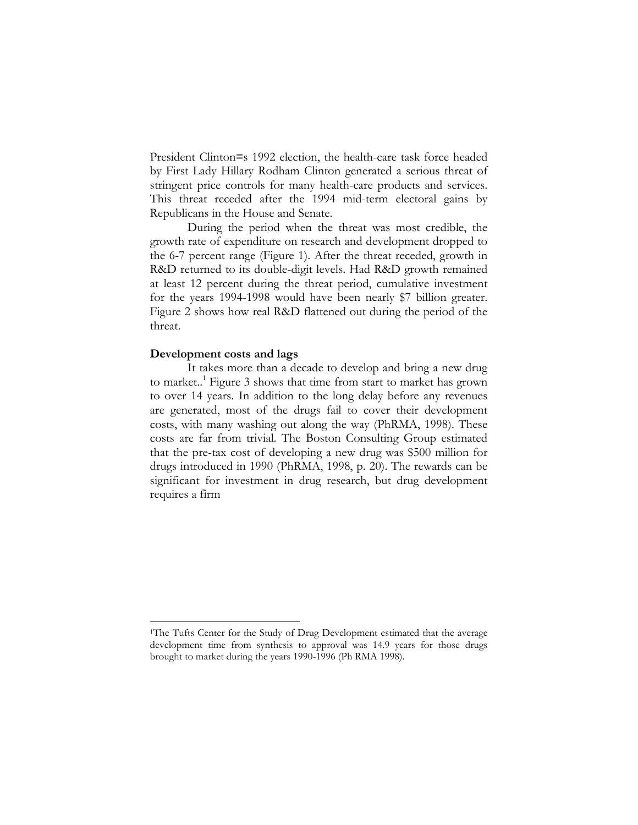President Clinton=s 1992 election, the health-care task force headed by First Lady Hillary Rodham Clinton generated a serious threat of stringent price controls for many health-care products and services. This threat receded after the 1994 mid-term electoral gains by Republicans in the House and Senate.

During the period when the threat was most credible, the growth rate of expenditure on research and development dropped to the 6-7 percent range (Figure 1). After the threat receded, growth in R&D returned to its double-digit levels. Had R&D growth remained at least 12 percent during the threat period, cumulative investment for the years 1994-1998 would have been nearly \$7 billion greater. Figure 2 shows how real R&D flattened out during the period of the threat.

## **Development costs and lags**

1

It takes more than a decade to develop and bring a new drug to market.<sup>1</sup> Figure 3 shows that time from start to market has grown to over 14 years. In addition to the long delay before any revenues are generated, most of the drugs fail to cover their development costs, with many washing out along the way (PhRMA, 1998). These costs are far from trivial. The Boston Consulting Group estimated that the pre-tax cost of developing a new drug was \$500 million for drugs introduced in 1990 (PhRMA, 1998, p. 20). The rewards can be significant for investment in drug research, but drug development requires a firm

<sup>&</sup>lt;sup>1</sup>The Tufts Center for the Study of Drug Development estimated that the average development time from synthesis to approval was 14.9 years for those drugs brought to market during the years 1990-1996 (Ph RMA 1998).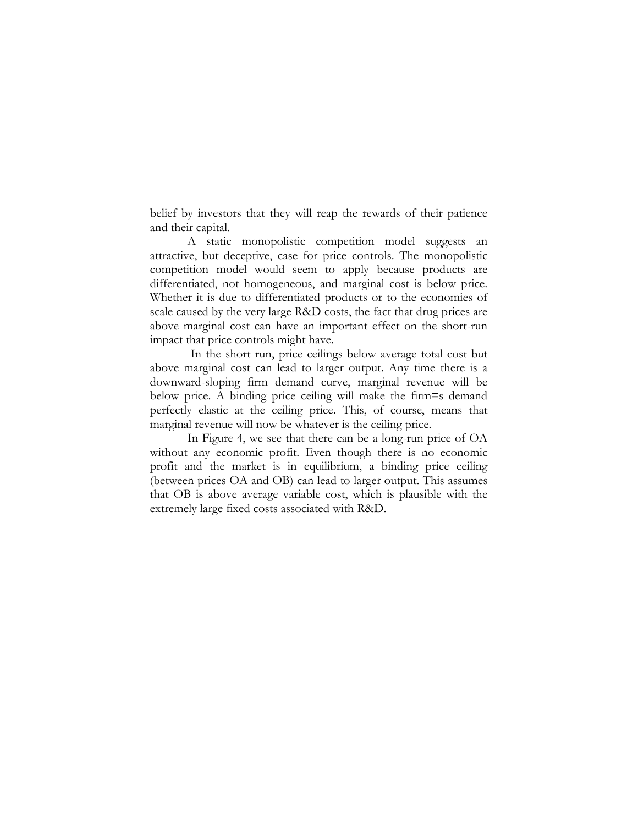belief by investors that they will reap the rewards of their patience and their capital.

A static monopolistic competition model suggests an attractive, but deceptive, case for price controls. The monopolistic competition model would seem to apply because products are differentiated, not homogeneous, and marginal cost is below price. Whether it is due to differentiated products or to the economies of scale caused by the very large R&D costs, the fact that drug prices are above marginal cost can have an important effect on the short-run impact that price controls might have.

 In the short run, price ceilings below average total cost but above marginal cost can lead to larger output. Any time there is a downward-sloping firm demand curve, marginal revenue will be below price. A binding price ceiling will make the firm=s demand perfectly elastic at the ceiling price. This, of course, means that marginal revenue will now be whatever is the ceiling price.

In Figure 4, we see that there can be a long-run price of OA without any economic profit. Even though there is no economic profit and the market is in equilibrium, a binding price ceiling (between prices OA and OB) can lead to larger output. This assumes that OB is above average variable cost, which is plausible with the extremely large fixed costs associated with R&D.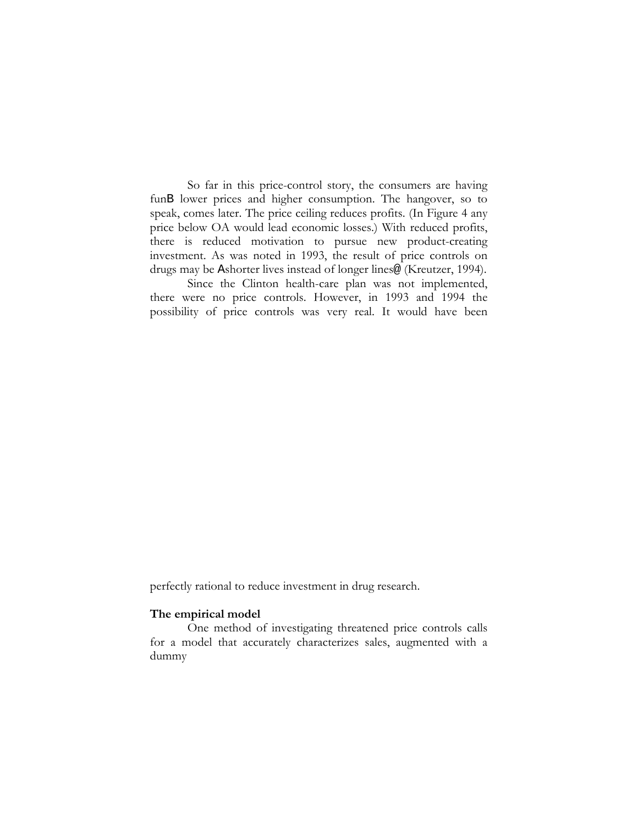So far in this price-control story, the consumers are having funB lower prices and higher consumption. The hangover, so to speak, comes later. The price ceiling reduces profits. (In Figure 4 any price below OA would lead economic losses.) With reduced profits, there is reduced motivation to pursue new product-creating investment. As was noted in 1993, the result of price controls on drugs may be Ashorter lives instead of longer lines@ (Kreutzer, 1994).

Since the Clinton health-care plan was not implemented, there were no price controls. However, in 1993 and 1994 the possibility of price controls was very real. It would have been

perfectly rational to reduce investment in drug research.

## **The empirical model**

One method of investigating threatened price controls calls for a model that accurately characterizes sales, augmented with a dummy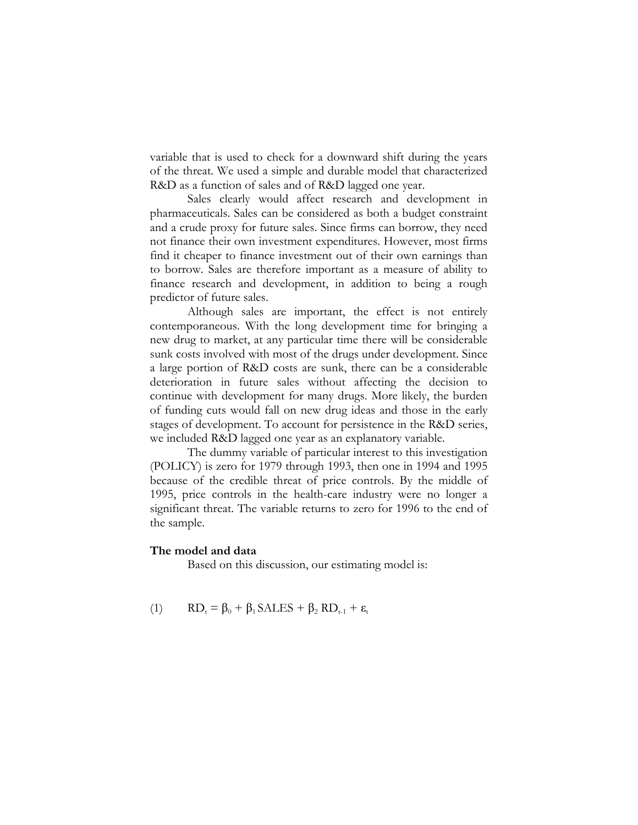variable that is used to check for a downward shift during the years of the threat. We used a simple and durable model that characterized R&D as a function of sales and of R&D lagged one year.

Sales clearly would affect research and development in pharmaceuticals. Sales can be considered as both a budget constraint and a crude proxy for future sales. Since firms can borrow, they need not finance their own investment expenditures. However, most firms find it cheaper to finance investment out of their own earnings than to borrow. Sales are therefore important as a measure of ability to finance research and development, in addition to being a rough predictor of future sales.

Although sales are important, the effect is not entirely contemporaneous. With the long development time for bringing a new drug to market, at any particular time there will be considerable sunk costs involved with most of the drugs under development. Since a large portion of R&D costs are sunk, there can be a considerable deterioration in future sales without affecting the decision to continue with development for many drugs. More likely, the burden of funding cuts would fall on new drug ideas and those in the early stages of development. To account for persistence in the R&D series, we included R&D lagged one year as an explanatory variable.

The dummy variable of particular interest to this investigation (POLICY) is zero for 1979 through 1993, then one in 1994 and 1995 because of the credible threat of price controls. By the middle of 1995, price controls in the health-care industry were no longer a significant threat. The variable returns to zero for 1996 to the end of the sample.

#### **The model and data**

Based on this discussion, our estimating model is:

(1) 
$$
RD_t = \beta_0 + \beta_1 SALES + \beta_2 RD_{t-1} + \varepsilon_t
$$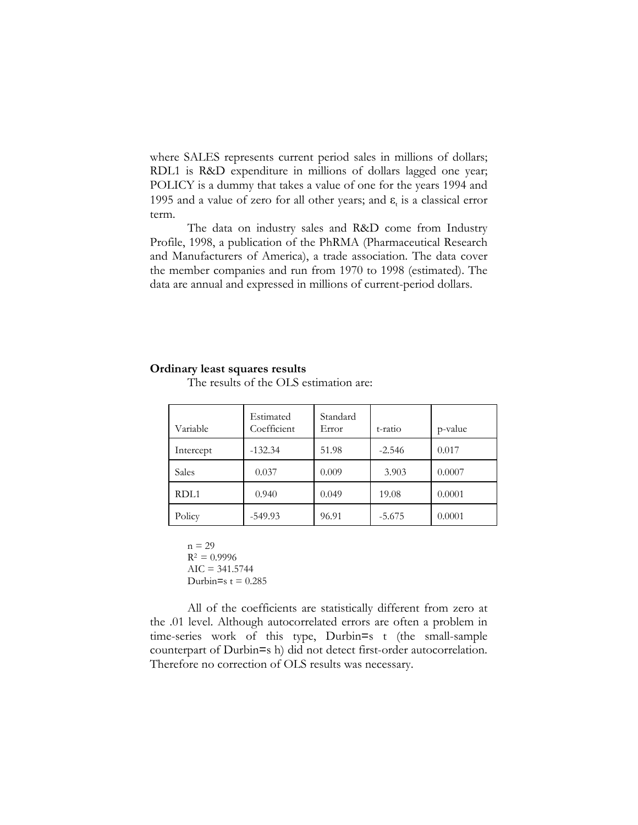where SALES represents current period sales in millions of dollars; RDL1 is R&D expenditure in millions of dollars lagged one year; POLICY is a dummy that takes a value of one for the years 1994 and 1995 and a value of zero for all other years; and  $\varepsilon_t$  is a classical error term.

The data on industry sales and R&D come from Industry Profile, 1998, a publication of the PhRMA (Pharmaceutical Research and Manufacturers of America), a trade association. The data cover the member companies and run from 1970 to 1998 (estimated). The data are annual and expressed in millions of current-period dollars.

#### **Ordinary least squares results**

| Variable         | Estimated<br>Coefficient | Standard<br>Error | t-ratio  | p-value |
|------------------|--------------------------|-------------------|----------|---------|
| Intercept        | $-132.34$                | 51.98             | $-2.546$ | 0.017   |
| Sales            | 0.037                    | 0.009             | 3.903    | 0.0007  |
| RDL <sub>1</sub> | 0.940                    | 0.049             | 19.08    | 0.0001  |
| Policy           | $-549.93$                | 96.91             | $-5.675$ | 0.0001  |

The results of the OLS estimation are:

 $n = 29$  $R^2 = 0.9996$  $AIC = 341.5744$ Durbin=s  $t = 0.285$ 

All of the coefficients are statistically different from zero at the .01 level. Although autocorrelated errors are often a problem in time-series work of this type, Durbin=s t (the small-sample counterpart of Durbin=s h) did not detect first-order autocorrelation. Therefore no correction of OLS results was necessary.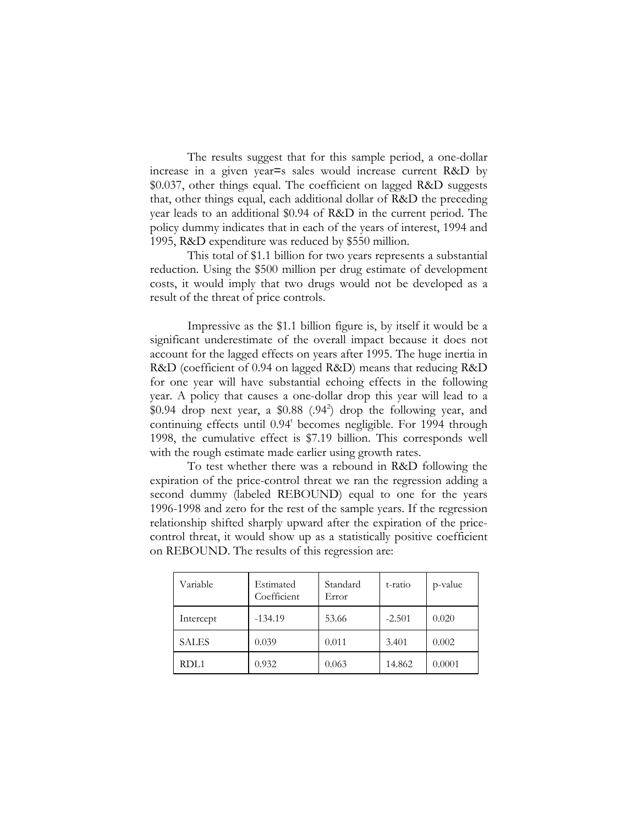The results suggest that for this sample period, a one-dollar increase in a given year=s sales would increase current R&D by \$0.037, other things equal. The coefficient on lagged R&D suggests that, other things equal, each additional dollar of R&D the preceding year leads to an additional \$0.94 of R&D in the current period. The policy dummy indicates that in each of the years of interest, 1994 and 1995, R&D expenditure was reduced by \$550 million.

This total of \$1.1 billion for two years represents a substantial reduction. Using the \$500 million per drug estimate of development costs, it would imply that two drugs would not be developed as a result of the threat of price controls.

Impressive as the \$1.1 billion figure is, by itself it would be a significant underestimate of the overall impact because it does not account for the lagged effects on years after 1995. The huge inertia in R&D (coefficient of 0.94 on lagged R&D) means that reducing R&D for one year will have substantial echoing effects in the following year. A policy that causes a one-dollar drop this year will lead to a  $$0.94$  drop next year, a  $$0.88$   $(.94^2)$  drop the following year, and continuing effects until 0.94<sup>t</sup> becomes negligible. For 1994 through 1998, the cumulative effect is \$7.19 billion. This corresponds well with the rough estimate made earlier using growth rates.

To test whether there was a rebound in R&D following the expiration of the price-control threat we ran the regression adding a second dummy (labeled REBOUND) equal to one for the years 1996-1998 and zero for the rest of the sample years. If the regression relationship shifted sharply upward after the expiration of the pricecontrol threat, it would show up as a statistically positive coefficient on REBOUND. The results of this regression are:

| Variable     | Estimated<br>Coefficient | Standard<br>Error | t-ratio  | p-value |
|--------------|--------------------------|-------------------|----------|---------|
| Intercept    | $-134.19$                | 53.66             | $-2.501$ | 0.020   |
| <b>SALES</b> | 0.039                    | 0.011             | 3.401    | 0.002   |
| RDL1         | 0.932                    | 0.063             | 14.862   | 0.0001  |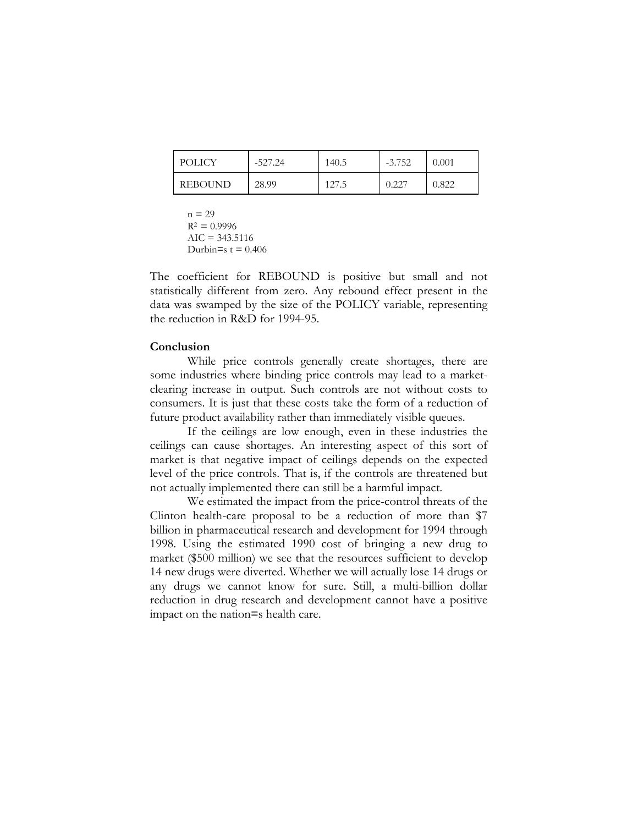| POLICY         | $-527.24$ | 140.5 | $-3.752$ | $\,0.001\,$ |
|----------------|-----------|-------|----------|-------------|
| <b>REBOUND</b> | 28.99     | 127.5 | 0.ZZ     | 0.822       |

 $n = 29$  $R^2 = 0.9996$  $AIC = 343.5116$ Durbin=s  $t = 0.406$ 

The coefficient for REBOUND is positive but small and not statistically different from zero. Any rebound effect present in the data was swamped by the size of the POLICY variable, representing the reduction in R&D for 1994-95.

#### **Conclusion**

While price controls generally create shortages, there are some industries where binding price controls may lead to a marketclearing increase in output. Such controls are not without costs to consumers. It is just that these costs take the form of a reduction of future product availability rather than immediately visible queues.

If the ceilings are low enough, even in these industries the ceilings can cause shortages. An interesting aspect of this sort of market is that negative impact of ceilings depends on the expected level of the price controls. That is, if the controls are threatened but not actually implemented there can still be a harmful impact.

We estimated the impact from the price-control threats of the Clinton health-care proposal to be a reduction of more than \$7 billion in pharmaceutical research and development for 1994 through 1998. Using the estimated 1990 cost of bringing a new drug to market (\$500 million) we see that the resources sufficient to develop 14 new drugs were diverted. Whether we will actually lose 14 drugs or any drugs we cannot know for sure. Still, a multi-billion dollar reduction in drug research and development cannot have a positive impact on the nation=s health care.